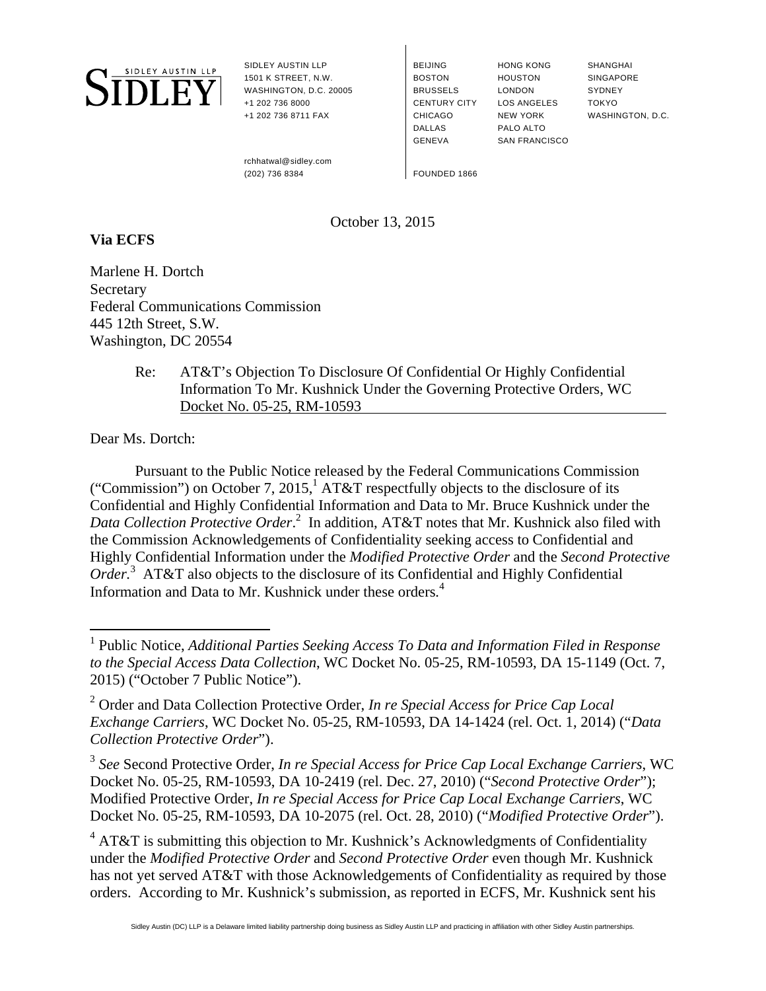

SIDLEY AUSTIN LLP 1501 K STREET, N.W. WASHINGTON, D.C. 20005 +1 202 736 8000 +1 202 736 8711 FAX

BEIJING **BOSTON** BRUSSELS CENTURY CITY CHICAGO DALLAS GENEVA

HONG KONG HOUSTON LONDON LOS ANGELES NEW YORK PALO ALTO SAN FRANCISCO

SHANGHAI **SINGAPORE SYDNEY** TOKYO WASHINGTON, D.C.

 rchhatwal@sidley.com (202) 736 8384 FOUNDED 1866

## October 13, 2015

## **Via ECFS**

Marlene H. Dortch **Secretary** Federal Communications Commission 445 12th Street, S.W. Washington, DC 20554

> Re: AT&T's Objection To Disclosure Of Confidential Or Highly Confidential Information To Mr. Kushnick Under the Governing Protective Orders, WC Docket No. 05-25, RM-10593

Dear Ms. Dortch:

Pursuant to the Public Notice released by the Federal Communications Commission ("Commission") on October 7, 2015,<sup>1</sup> AT&T respectfully objects to the disclosure of its Confidential and Highly Confidential Information and Data to Mr. Bruce Kushnick under the Data Collection Protective Order.<sup>2</sup> In addition, AT&T notes that Mr. Kushnick also filed with the Commission Acknowledgements of Confidentiality seeking access to Confidential and Highly Confidential Information under the *Modified Protective Order* and the *Second Protective Order.*<sup>3</sup> AT&T also objects to the disclosure of its Confidential and Highly Confidential Information and Data to Mr. Kushnick under these orders*.* 4

<sup>3</sup> *See* Second Protective Order, *In re Special Access for Price Cap Local Exchange Carriers*, WC Docket No. 05-25, RM-10593, DA 10-2419 (rel. Dec. 27, 2010) ("*Second Protective Order*"); Modified Protective Order, *In re Special Access for Price Cap Local Exchange Carriers*, WC Docket No. 05-25, RM-10593, DA 10-2075 (rel. Oct. 28, 2010) ("*Modified Protective Order*").

 $4$  AT&T is submitting this objection to Mr. Kushnick's Acknowledgments of Confidentiality under the *Modified Protective Order* and *Second Protective Order* even though Mr. Kushnick has not yet served AT&T with those Acknowledgements of Confidentiality as required by those orders. According to Mr. Kushnick's submission, as reported in ECFS, Mr. Kushnick sent his

 1 Public Notice, *Additional Parties Seeking Access To Data and Information Filed in Response to the Special Access Data Collection*, WC Docket No. 05-25, RM-10593, DA 15-1149 (Oct. 7, 2015) ("October 7 Public Notice").

<sup>2</sup> Order and Data Collection Protective Order, *In re Special Access for Price Cap Local Exchange Carriers*, WC Docket No. 05-25, RM-10593, DA 14-1424 (rel. Oct. 1, 2014) ("*Data Collection Protective Order*").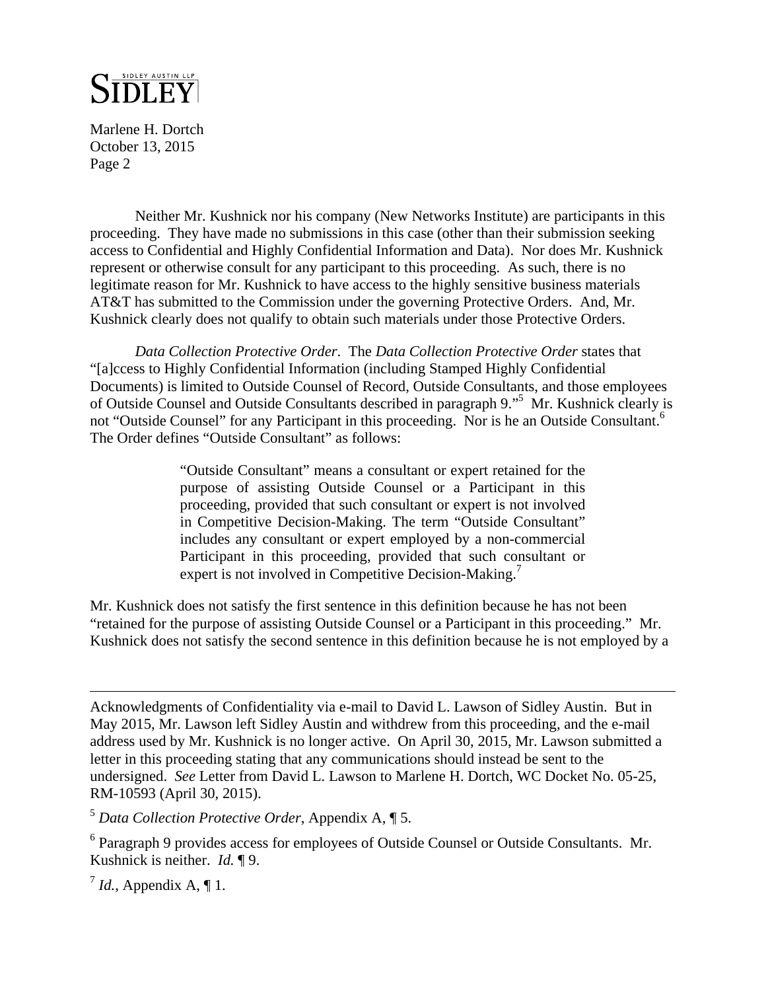

Marlene H. Dortch October 13, 2015 Page 2

Neither Mr. Kushnick nor his company (New Networks Institute) are participants in this proceeding. They have made no submissions in this case (other than their submission seeking access to Confidential and Highly Confidential Information and Data). Nor does Mr. Kushnick represent or otherwise consult for any participant to this proceeding. As such, there is no legitimate reason for Mr. Kushnick to have access to the highly sensitive business materials AT&T has submitted to the Commission under the governing Protective Orders. And, Mr. Kushnick clearly does not qualify to obtain such materials under those Protective Orders.

*Data Collection Protective Order*. The *Data Collection Protective Order* states that "[a]ccess to Highly Confidential Information (including Stamped Highly Confidential Documents) is limited to Outside Counsel of Record, Outside Consultants, and those employees of Outside Counsel and Outside Consultants described in paragraph 9."5 Mr. Kushnick clearly is not "Outside Counsel" for any Participant in this proceeding. Nor is he an Outside Consultant.<sup>6</sup> The Order defines "Outside Consultant" as follows:

> "Outside Consultant" means a consultant or expert retained for the purpose of assisting Outside Counsel or a Participant in this proceeding, provided that such consultant or expert is not involved in Competitive Decision-Making. The term "Outside Consultant" includes any consultant or expert employed by a non-commercial Participant in this proceeding, provided that such consultant or expert is not involved in Competitive Decision-Making.<sup>7</sup>

Mr. Kushnick does not satisfy the first sentence in this definition because he has not been "retained for the purpose of assisting Outside Counsel or a Participant in this proceeding." Mr. Kushnick does not satisfy the second sentence in this definition because he is not employed by a

Acknowledgments of Confidentiality via e-mail to David L. Lawson of Sidley Austin. But in May 2015, Mr. Lawson left Sidley Austin and withdrew from this proceeding, and the e-mail address used by Mr. Kushnick is no longer active. On April 30, 2015, Mr. Lawson submitted a letter in this proceeding stating that any communications should instead be sent to the undersigned. *See* Letter from David L. Lawson to Marlene H. Dortch, WC Docket No. 05-25, RM-10593 (April 30, 2015).

<sup>5</sup> *Data Collection Protective Order*, Appendix A, ¶ 5.

<sup>6</sup> Paragraph 9 provides access for employees of Outside Counsel or Outside Consultants. Mr. Kushnick is neither. *Id.* ¶ 9.

 $^7$  *Id.*, Appendix A, ¶ 1.

 $\overline{a}$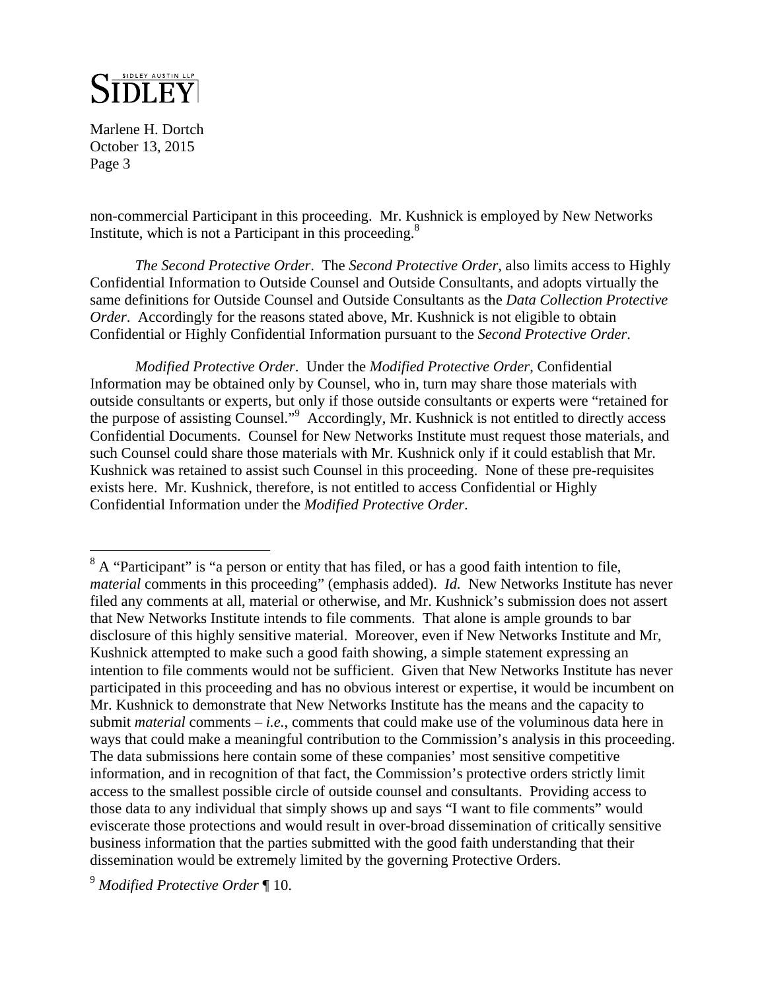

Marlene H. Dortch October 13, 2015 Page 3

1

non-commercial Participant in this proceeding. Mr. Kushnick is employed by New Networks Institute, which is not a Participant in this proceeding. $8$ 

*The Second Protective Order*. The *Second Protective Order*, also limits access to Highly Confidential Information to Outside Counsel and Outside Consultants, and adopts virtually the same definitions for Outside Counsel and Outside Consultants as the *Data Collection Protective Order.* Accordingly for the reasons stated above, Mr. Kushnick is not eligible to obtain Confidential or Highly Confidential Information pursuant to the *Second Protective Order*.

*Modified Protective Order*. Under the *Modified Protective Order*, Confidential Information may be obtained only by Counsel, who in, turn may share those materials with outside consultants or experts, but only if those outside consultants or experts were "retained for the purpose of assisting Counsel."<sup>9</sup> Accordingly, Mr. Kushnick is not entitled to directly access Confidential Documents. Counsel for New Networks Institute must request those materials, and such Counsel could share those materials with Mr. Kushnick only if it could establish that Mr. Kushnick was retained to assist such Counsel in this proceeding. None of these pre-requisites exists here. Mr. Kushnick, therefore, is not entitled to access Confidential or Highly Confidential Information under the *Modified Protective Order*.

 $8$  A "Participant" is "a person or entity that has filed, or has a good faith intention to file, *material* comments in this proceeding" (emphasis added). *Id.* New Networks Institute has never filed any comments at all, material or otherwise, and Mr. Kushnick's submission does not assert that New Networks Institute intends to file comments. That alone is ample grounds to bar disclosure of this highly sensitive material. Moreover, even if New Networks Institute and Mr, Kushnick attempted to make such a good faith showing, a simple statement expressing an intention to file comments would not be sufficient. Given that New Networks Institute has never participated in this proceeding and has no obvious interest or expertise, it would be incumbent on Mr. Kushnick to demonstrate that New Networks Institute has the means and the capacity to submit *material* comments – *i.e.*, comments that could make use of the voluminous data here in ways that could make a meaningful contribution to the Commission's analysis in this proceeding. The data submissions here contain some of these companies' most sensitive competitive information, and in recognition of that fact, the Commission's protective orders strictly limit access to the smallest possible circle of outside counsel and consultants. Providing access to those data to any individual that simply shows up and says "I want to file comments" would eviscerate those protections and would result in over-broad dissemination of critically sensitive business information that the parties submitted with the good faith understanding that their dissemination would be extremely limited by the governing Protective Orders.

<sup>9</sup> *Modified Protective Order* ¶ 10.